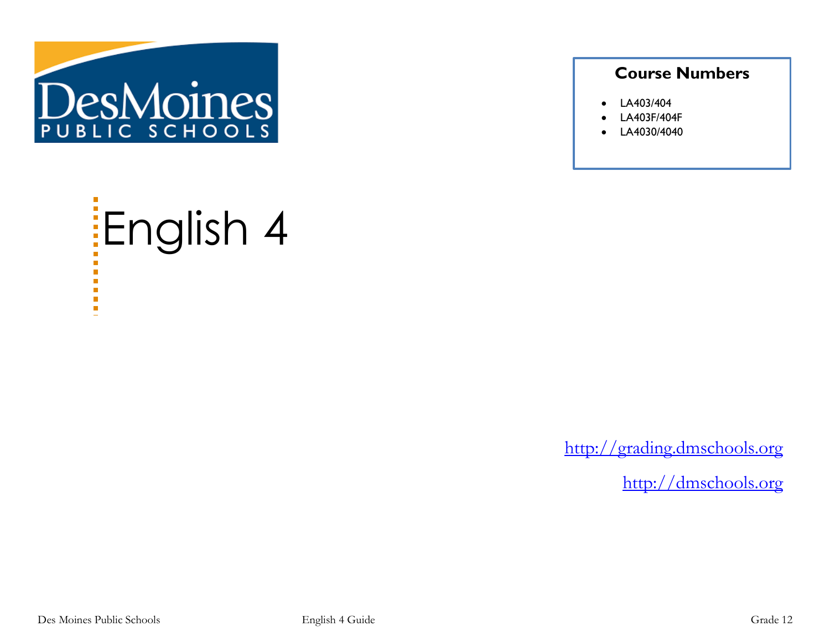

### **Course Numbers**

- LA403/404
- LA403F/404F
- LA4030/4040

# English 4  $\blacksquare$ a.  $\overline{\phantom{a}}$  $\blacksquare$

[http://grading.dmschools.org](http://grading.dmschools.org/)

[http://dmschools.org](http://dmschools.org/)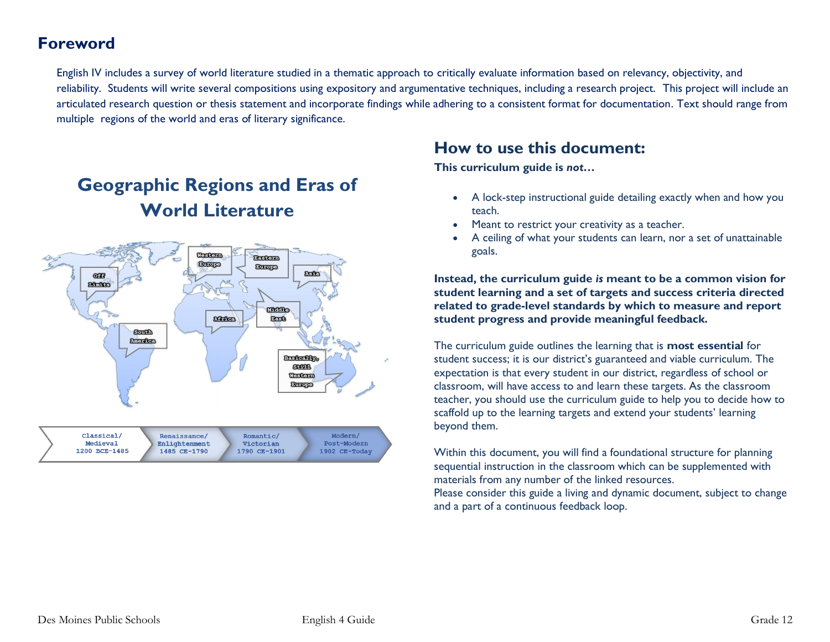### **Foreword**

English IV includes a survey of world literature studied in a thematic approach to critically evaluate information based on relevancy, objectivity, and reliability. Students will write several compositions using expository and argumentative techniques, including a research project. This project will include an articulated research question or thesis statement and incorporate findings while adhering to a consistent format for documentation. Text should range from multiple regions of the world and eras of literary significance.

# **Geographic Regions and Eras of World Literature**



Medieval Enlightenment Post-Modern Victorian 1200 BCE-1485 1485 CE-1790 1790 CE-1901 1902 CE-Today

# **How to use this document:**

**This curriculum guide is** *not…*

- A lock-step instructional guide detailing exactly when and how you teach.
- Meant to restrict your creativity as a teacher.
- A ceiling of what your students can learn, nor a set of unattainable goals.

**Instead, the curriculum guide** *is* **meant to be a common vision for student learning and a set of targets and success criteria directed related to grade-level standards by which to measure and report student progress and provide meaningful feedback.**

The curriculum guide outlines the learning that is **most essential** for student success; it is our district's guaranteed and viable curriculum. The expectation is that every student in our district, regardless of school or classroom, will have access to and learn these targets. As the classroom teacher, you should use the curriculum guide to help you to decide how to scaffold up to the learning targets and extend your students' learning beyond them.

Within this document, you will find a foundational structure for planning sequential instruction in the classroom which can be supplemented with materials from any number of the linked resources.

Please consider this guide a living and dynamic document, subject to change and a part of a continuous feedback loop.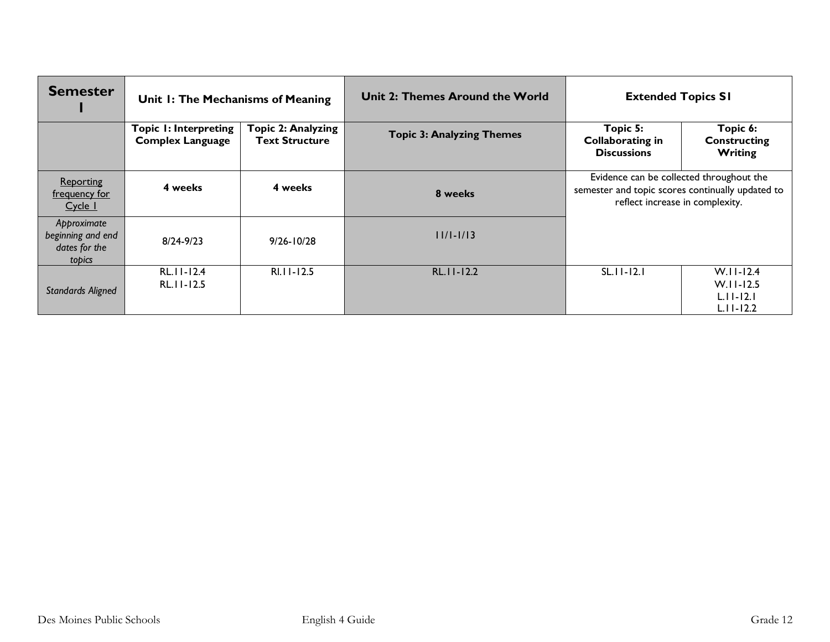| <b>Semester</b>                                             | Unit 1: The Mechanisms of Meaning                       |                                                    | Unit 2: Themes Around the World  | <b>Extended Topics SI</b>                                                                                                       |                                                               |
|-------------------------------------------------------------|---------------------------------------------------------|----------------------------------------------------|----------------------------------|---------------------------------------------------------------------------------------------------------------------------------|---------------------------------------------------------------|
|                                                             | <b>Topic I: Interpreting</b><br><b>Complex Language</b> | <b>Topic 2: Analyzing</b><br><b>Text Structure</b> | <b>Topic 3: Analyzing Themes</b> | Topic 5:<br><b>Collaborating in</b><br><b>Discussions</b>                                                                       | Topic 6:<br><b>Constructing</b><br>Writing                    |
| <b>Reporting</b><br><u>frequency for</u><br>Cycle 1         | 4 weeks                                                 | 4 weeks                                            | 8 weeks                          | Evidence can be collected throughout the<br>semester and topic scores continually updated to<br>reflect increase in complexity. |                                                               |
| Approximate<br>beginning and end<br>dates for the<br>topics | $8/24 - 9/23$                                           | $9/26 - 10/28$                                     | $11/1 - 1/13$                    |                                                                                                                                 |                                                               |
| <b>Standards Aligned</b>                                    | RL.11-12.4<br>RL.11-12.5                                | $RI.I.I-12.5$                                      | $RL.$   $-12.2$                  | $SL.11 - 12.1$                                                                                                                  | $W.I.I-12.4$<br>$W.II-I2.5$<br>$L.11 - 12.1$<br>$L.11 - 12.2$ |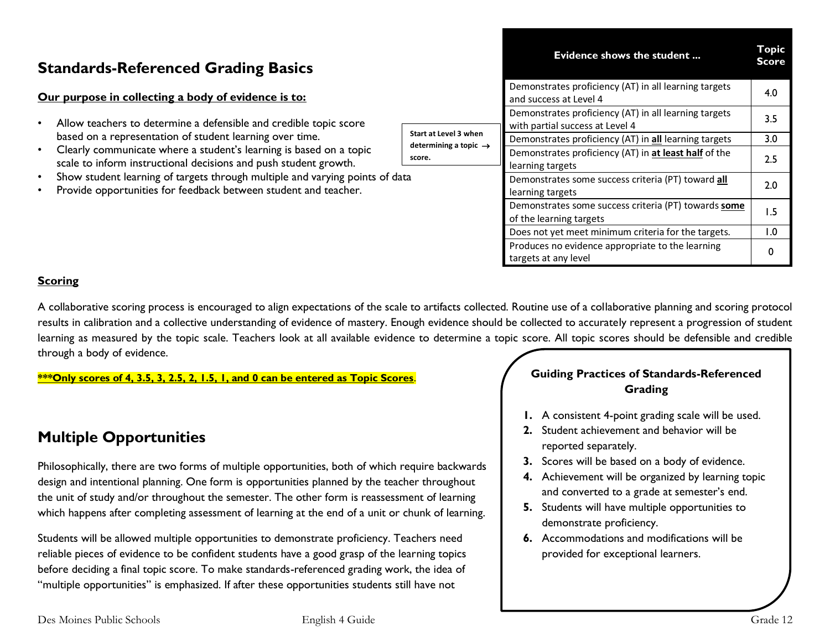# **Standards-Referenced Grading Basics**

### **Our purpose in collecting a body of evidence is to:**

- Allow teachers to determine a defensible and credible topic score based on a representation of student learning over time.
- Clearly communicate where a student's learning is based on a topic scale to inform instructional decisions and push student growth.
- Show student learning of targets through multiple and varying points of data
- Provide opportunities for feedback between student and teacher.

|                                                            | <b>Evidence shows the student</b>                                                        |                         |
|------------------------------------------------------------|------------------------------------------------------------------------------------------|-------------------------|
|                                                            | Demonstrates proficiency (AT) in all learning targets<br>and success at Level 4          | 4.0                     |
|                                                            | Demonstrates proficiency (AT) in all learning targets<br>with partial success at Level 4 | 3.5                     |
| Start at Level 3 when<br>determining a topic $\rightarrow$ | Demonstrates proficiency (AT) in all learning targets                                    | 3.0                     |
| score.                                                     | Demonstrates proficiency (AT) in at least half of the<br>learning targets                | 2.5                     |
|                                                            | Demonstrates some success criteria (PT) toward all<br>learning targets                   | 2.0                     |
|                                                            | Demonstrates some success criteria (PT) towards some<br>of the learning targets          | 1.5                     |
|                                                            | Does not yet meet minimum criteria for the targets.                                      | $\mathsf{I}.\mathsf{O}$ |
|                                                            | Produces no evidence appropriate to the learning<br>targets at any level                 | 0                       |

### **Scoring**

A collaborative scoring process is encouraged to align expectations of the scale to artifacts collected. Routine use of a collaborative planning and scoring protocol results in calibration and a collective understanding of evidence of mastery. Enough evidence should be collected to accurately represent a progression of student learning as measured by the topic scale. Teachers look at all available evidence to determine a topic score. All topic scores should be defensible and credible through a body of evidence.

**\*\*\*Only scores of 4, 3.5, 3, 2.5, 2, 1.5, 1, and 0 can be entered as Topic Scores**.

# **Multiple Opportunities**

Philosophically, there are two forms of multiple opportunities, both of which require backwards design and intentional planning. One form is opportunities planned by the teacher throughout the unit of study and/or throughout the semester. The other form is reassessment of learning which happens after completing assessment of learning at the end of a unit or chunk of learning.

Students will be allowed multiple opportunities to demonstrate proficiency. Teachers need reliable pieces of evidence to be confident students have a good grasp of the learning topics before deciding a final topic score. To make standards-referenced grading work, the idea of "multiple opportunities" is emphasized. If after these opportunities students still have not

### **Guiding Practices of Standards-Referenced Grading**

- **1.** A consistent 4-point grading scale will be used.
- **2.** Student achievement and behavior will be reported separately.
- **3.** Scores will be based on a body of evidence.
- **4.** Achievement will be organized by learning topic and converted to a grade at semester's end.
- **5.** Students will have multiple opportunities to demonstrate proficiency.
- **6.** Accommodations and modifications will be provided for exceptional learners.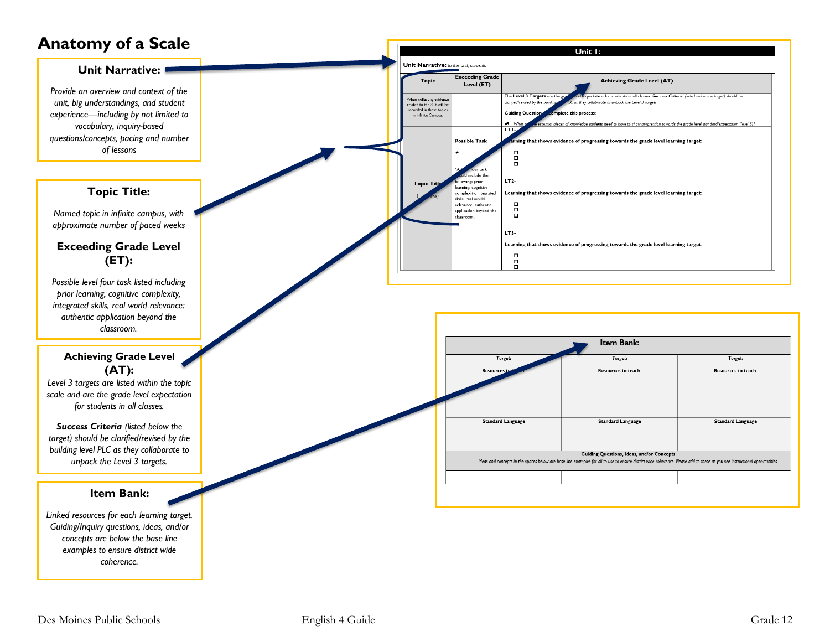# **Anatomy of a Scale**

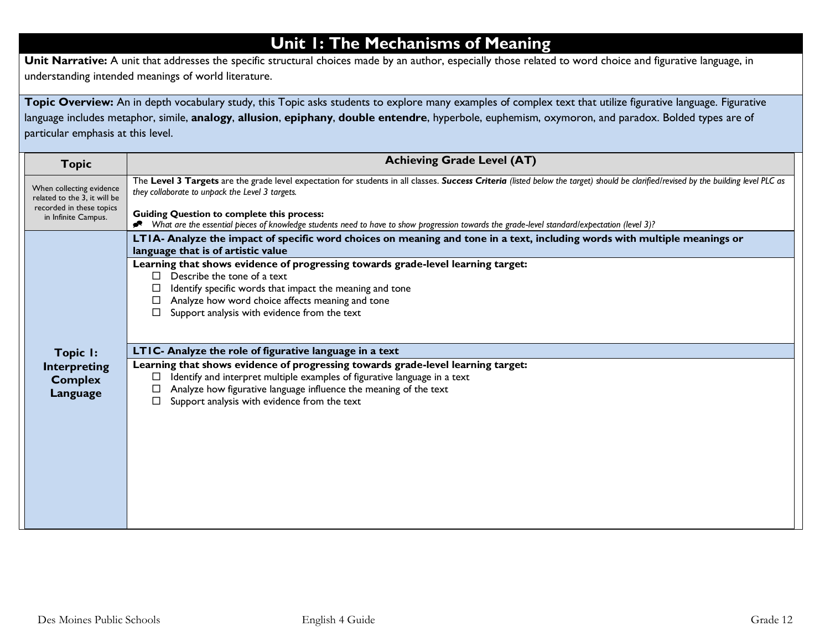# **Unit 1: The Mechanisms of Meaning**

**Unit Narrative:** A unit that addresses the specific structural choices made by an author, especially those related to word choice and figurative language, in understanding intended meanings of world literature.

Topic Overview: An in depth vocabulary study, this Topic asks students to explore many examples of complex text that utilize figurative language. Figurative language includes metaphor, simile, **analogy**, **allusion**, **epiphany**, **double entendre**, hyperbole, euphemism, oxymoron, and paradox. Bolded types are of particular emphasis at this level.

| <b>Topic</b>                                                                                                | <b>Achieving Grade Level (AT)</b>                                                                                                                                                                                                                                                                                                                  |
|-------------------------------------------------------------------------------------------------------------|----------------------------------------------------------------------------------------------------------------------------------------------------------------------------------------------------------------------------------------------------------------------------------------------------------------------------------------------------|
| When collecting evidence<br>related to the 3, it will be<br>recorded in these topics<br>in Infinite Campus. | The Level 3 Targets are the grade level expectation for students in all classes. Success Criteria (listed below the target) should be clarified/revised by the building level PLC as<br>they collaborate to unpack the Level 3 targets.<br><b>Guiding Question to complete this process:</b>                                                       |
|                                                                                                             | What are the essential pieces of knowledge students need to have to show progression towards the grade-level standard/expectation (level 3)?                                                                                                                                                                                                       |
|                                                                                                             | LTIA- Analyze the impact of specific word choices on meaning and tone in a text, including words with multiple meanings or<br>language that is of artistic value                                                                                                                                                                                   |
| Topic I:<br><b>Interpreting</b><br><b>Complex</b><br>Language                                               | Learning that shows evidence of progressing towards grade-level learning target:<br>Describe the tone of a text<br>$\Box$<br>Identify specific words that impact the meaning and tone<br>Analyze how word choice affects meaning and tone<br>Support analysis with evidence from the text                                                          |
|                                                                                                             | LTIC- Analyze the role of figurative language in a text<br>Learning that shows evidence of progressing towards grade-level learning target:<br>Identify and interpret multiple examples of figurative language in a text<br>Analyze how figurative language influence the meaning of the text<br>⊔<br>Support analysis with evidence from the text |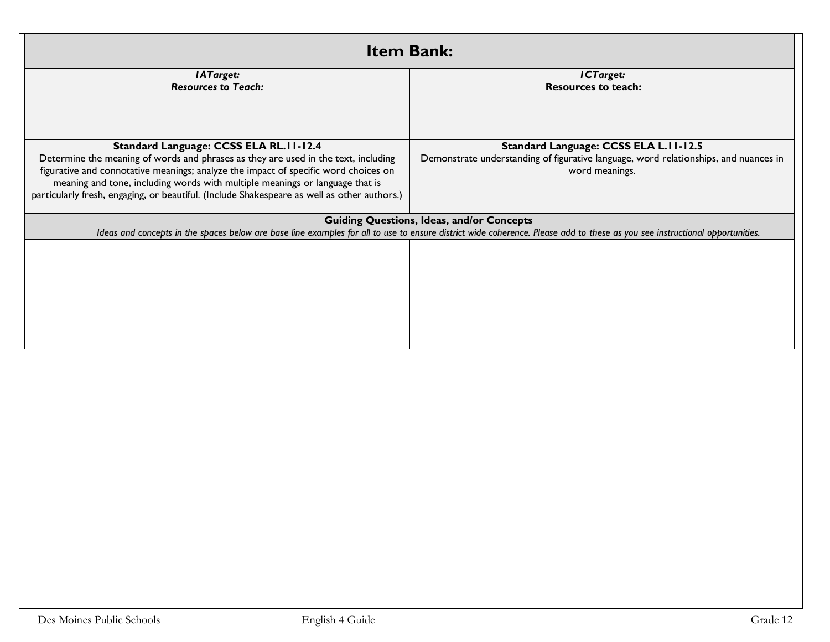| <b>Item Bank:</b>                                                                                                                                                         |                                                                                                                                                                             |  |  |  |
|---------------------------------------------------------------------------------------------------------------------------------------------------------------------------|-----------------------------------------------------------------------------------------------------------------------------------------------------------------------------|--|--|--|
| <b>IATarget:</b><br><b>Resources to Teach:</b>                                                                                                                            | ICTarget:<br><b>Resources to teach:</b>                                                                                                                                     |  |  |  |
|                                                                                                                                                                           |                                                                                                                                                                             |  |  |  |
|                                                                                                                                                                           |                                                                                                                                                                             |  |  |  |
|                                                                                                                                                                           |                                                                                                                                                                             |  |  |  |
| Standard Language: CCSS ELA RL.11-12.4                                                                                                                                    | Standard Language: CCSS ELA L.II-12.5                                                                                                                                       |  |  |  |
| Determine the meaning of words and phrases as they are used in the text, including<br>figurative and connotative meanings; analyze the impact of specific word choices on | Demonstrate understanding of figurative language, word relationships, and nuances in<br>word meanings.                                                                      |  |  |  |
| meaning and tone, including words with multiple meanings or language that is                                                                                              |                                                                                                                                                                             |  |  |  |
| particularly fresh, engaging, or beautiful. (Include Shakespeare as well as other authors.)                                                                               |                                                                                                                                                                             |  |  |  |
|                                                                                                                                                                           | <b>Guiding Questions, Ideas, and/or Concepts</b>                                                                                                                            |  |  |  |
|                                                                                                                                                                           | Ideas and concepts in the spaces below are base line examples for all to use to ensure district wide coherence. Please add to these as you see instructional opportunities. |  |  |  |
|                                                                                                                                                                           |                                                                                                                                                                             |  |  |  |
|                                                                                                                                                                           |                                                                                                                                                                             |  |  |  |
|                                                                                                                                                                           |                                                                                                                                                                             |  |  |  |
|                                                                                                                                                                           |                                                                                                                                                                             |  |  |  |
|                                                                                                                                                                           |                                                                                                                                                                             |  |  |  |
|                                                                                                                                                                           |                                                                                                                                                                             |  |  |  |
|                                                                                                                                                                           |                                                                                                                                                                             |  |  |  |
|                                                                                                                                                                           |                                                                                                                                                                             |  |  |  |
|                                                                                                                                                                           |                                                                                                                                                                             |  |  |  |
|                                                                                                                                                                           |                                                                                                                                                                             |  |  |  |
|                                                                                                                                                                           |                                                                                                                                                                             |  |  |  |
|                                                                                                                                                                           |                                                                                                                                                                             |  |  |  |
|                                                                                                                                                                           |                                                                                                                                                                             |  |  |  |
|                                                                                                                                                                           |                                                                                                                                                                             |  |  |  |
|                                                                                                                                                                           |                                                                                                                                                                             |  |  |  |
|                                                                                                                                                                           |                                                                                                                                                                             |  |  |  |
|                                                                                                                                                                           |                                                                                                                                                                             |  |  |  |
|                                                                                                                                                                           |                                                                                                                                                                             |  |  |  |
|                                                                                                                                                                           |                                                                                                                                                                             |  |  |  |
|                                                                                                                                                                           |                                                                                                                                                                             |  |  |  |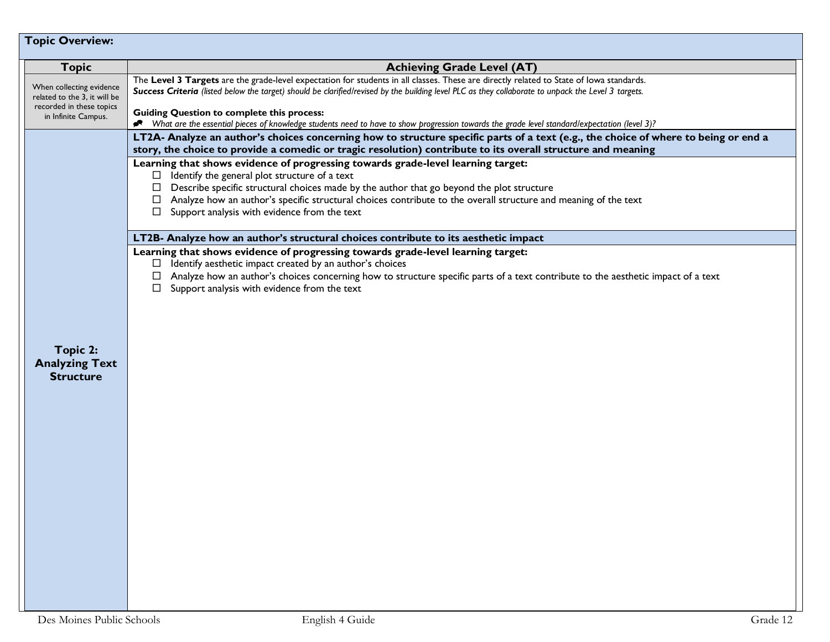| <b>Topic Overview:</b>                                                                                      |                                                                                                                                                                                                                                                                                                                                                                                                                                                                                                     |
|-------------------------------------------------------------------------------------------------------------|-----------------------------------------------------------------------------------------------------------------------------------------------------------------------------------------------------------------------------------------------------------------------------------------------------------------------------------------------------------------------------------------------------------------------------------------------------------------------------------------------------|
| <b>Topic</b>                                                                                                | <b>Achieving Grade Level (AT)</b>                                                                                                                                                                                                                                                                                                                                                                                                                                                                   |
| When collecting evidence<br>related to the 3, it will be<br>recorded in these topics<br>in Infinite Campus. | The Level 3 Targets are the grade-level expectation for students in all classes. These are directly related to State of lowa standards.<br>Success Criteria (listed below the target) should be clarified/revised by the building level PLC as they collaborate to unpack the Level 3 targets.<br><b>Guiding Question to complete this process:</b><br>What are the essential pieces of knowledge students need to have to show progression towards the grade level standard/expectation (level 3)? |
|                                                                                                             | LT2A- Analyze an author's choices concerning how to structure specific parts of a text (e.g., the choice of where to being or end a<br>story, the choice to provide a comedic or tragic resolution) contribute to its overall structure and meaning                                                                                                                                                                                                                                                 |
|                                                                                                             | Learning that shows evidence of progressing towards grade-level learning target:<br>$\Box$ Identify the general plot structure of a text<br>Describe specific structural choices made by the author that go beyond the plot structure<br>Analyze how an author's specific structural choices contribute to the overall structure and meaning of the text<br>Support analysis with evidence from the text<br>ப                                                                                       |
|                                                                                                             | LT2B- Analyze how an author's structural choices contribute to its aesthetic impact                                                                                                                                                                                                                                                                                                                                                                                                                 |
| Topic 2:<br><b>Analyzing Text</b><br><b>Structure</b>                                                       | Learning that shows evidence of progressing towards grade-level learning target:<br>Identify aesthetic impact created by an author's choices<br>⊔ ⊢<br>Analyze how an author's choices concerning how to structure specific parts of a text contribute to the aesthetic impact of a text<br>$\Box$ Support analysis with evidence from the text                                                                                                                                                     |
|                                                                                                             |                                                                                                                                                                                                                                                                                                                                                                                                                                                                                                     |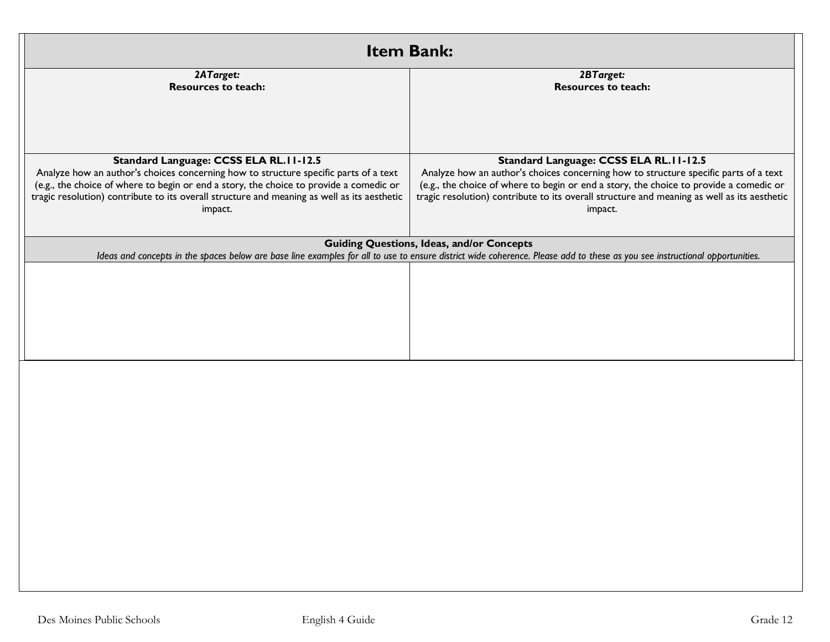| <b>Item Bank:</b>                                                                                                                                                                                                                                                                                                                  |                                                                                                                                                                                                                                                                                                                                    |  |  |  |
|------------------------------------------------------------------------------------------------------------------------------------------------------------------------------------------------------------------------------------------------------------------------------------------------------------------------------------|------------------------------------------------------------------------------------------------------------------------------------------------------------------------------------------------------------------------------------------------------------------------------------------------------------------------------------|--|--|--|
| 2ATarget:<br><b>Resources to teach:</b>                                                                                                                                                                                                                                                                                            | 2BTarget:<br><b>Resources to teach:</b>                                                                                                                                                                                                                                                                                            |  |  |  |
| Standard Language: CCSS ELA RL.11-12.5<br>Analyze how an author's choices concerning how to structure specific parts of a text<br>(e.g., the choice of where to begin or end a story, the choice to provide a comedic or<br>tragic resolution) contribute to its overall structure and meaning as well as its aesthetic<br>impact. | Standard Language: CCSS ELA RL.11-12.5<br>Analyze how an author's choices concerning how to structure specific parts of a text<br>(e.g., the choice of where to begin or end a story, the choice to provide a comedic or<br>tragic resolution) contribute to its overall structure and meaning as well as its aesthetic<br>impact. |  |  |  |
|                                                                                                                                                                                                                                                                                                                                    | <b>Guiding Questions, Ideas, and/or Concepts</b><br>Ideas and concepts in the spaces below are base line examples for all to use to ensure district wide coherence. Please add to these as you see instructional opportunities.                                                                                                    |  |  |  |
|                                                                                                                                                                                                                                                                                                                                    |                                                                                                                                                                                                                                                                                                                                    |  |  |  |
|                                                                                                                                                                                                                                                                                                                                    |                                                                                                                                                                                                                                                                                                                                    |  |  |  |
|                                                                                                                                                                                                                                                                                                                                    |                                                                                                                                                                                                                                                                                                                                    |  |  |  |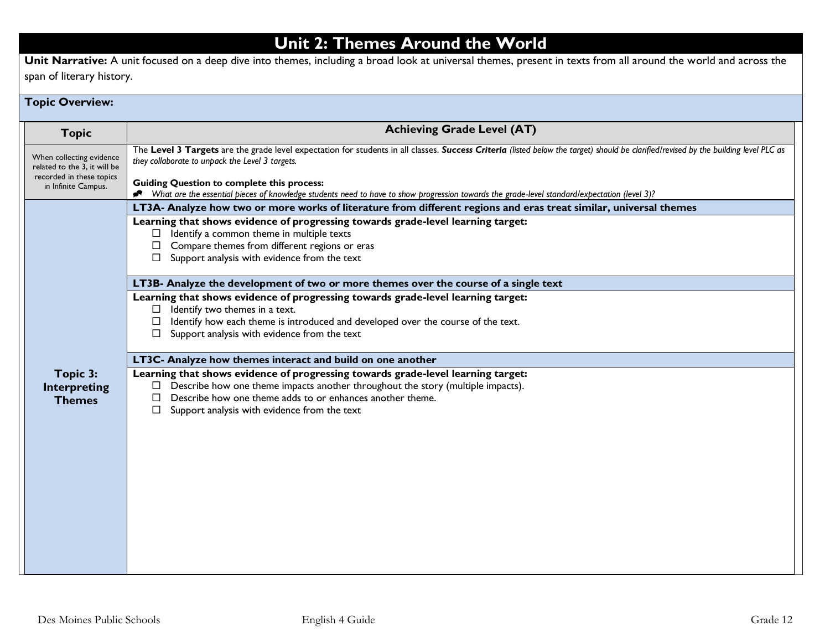# **Unit 2: Themes Around the World**

**Unit Narrative:** A unit focused on a deep dive into themes, including a broad look at universal themes, present in texts from all around the world and across the span of literary history.

### **Topic Overview: Topic Achieving Grade Level (AT)** When collecting evidence related to the 3, it will be recorded in these topics in Infinite Campus. The **Level 3 Targets** are the grade level expectation for students in all classes. *Success Criteria (listed below the target) should be clarified/revised by the building level PLC as they collaborate to unpack the Level 3 targets.*  **Guiding Question to complete this process:** *What are the essential pieces of knowledge students need to have to show progression towards the grade-level standard/expectation (level 3)?* **Topic 3: Interpreting Themes LT3A- Analyze how two or more works of literature from different regions and eras treat similar, universal themes Learning that shows evidence of progressing towards grade-level learning target:**   $\Box$  Identify a common theme in multiple texts  $\Box$  Compare themes from different regions or eras  $\square$  Support analysis with evidence from the text **LT3B- Analyze the development of two or more themes over the course of a single text Learning that shows evidence of progressing towards grade-level learning target:**   $\Box$  Identify two themes in a text.  $\Box$  Identify how each theme is introduced and developed over the course of the text.  $\Box$  Support analysis with evidence from the text **LT3C- Analyze how themes interact and build on one another Learning that shows evidence of progressing towards grade-level learning target:**   $\Box$  Describe how one theme impacts another throughout the story (multiple impacts).  $\Box$  Describe how one theme adds to or enhances another theme.  $\square$  Support analysis with evidence from the text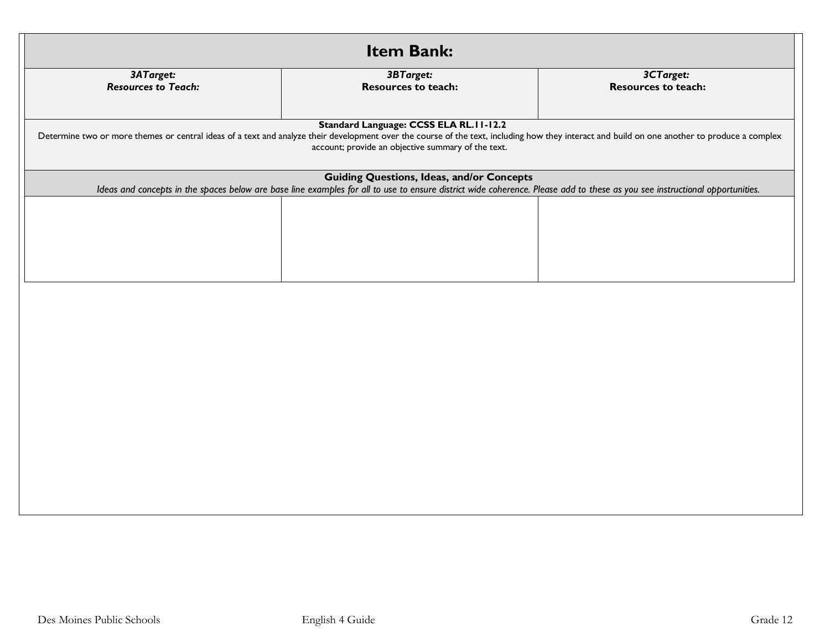| Item Bank:                                                                                                                                                                                                                                                                                   |                                                  |  |  |  |  |
|----------------------------------------------------------------------------------------------------------------------------------------------------------------------------------------------------------------------------------------------------------------------------------------------|--------------------------------------------------|--|--|--|--|
| 3BTarget:<br><b>Resources to teach:</b>                                                                                                                                                                                                                                                      | 3CTarget:<br><b>Resources to teach:</b>          |  |  |  |  |
| Standard Language: CCSS ELA RL.11-12.2<br>Determine two or more themes or central ideas of a text and analyze their development over the course of the text, including how they interact and build on one another to produce a complex<br>account; provide an objective summary of the text. |                                                  |  |  |  |  |
| Ideas and concepts in the spaces below are base line examples for all to use to ensure district wide coherence. Please add to these as you see instructional opportunities.                                                                                                                  |                                                  |  |  |  |  |
|                                                                                                                                                                                                                                                                                              |                                                  |  |  |  |  |
|                                                                                                                                                                                                                                                                                              |                                                  |  |  |  |  |
|                                                                                                                                                                                                                                                                                              |                                                  |  |  |  |  |
|                                                                                                                                                                                                                                                                                              |                                                  |  |  |  |  |
|                                                                                                                                                                                                                                                                                              |                                                  |  |  |  |  |
|                                                                                                                                                                                                                                                                                              |                                                  |  |  |  |  |
|                                                                                                                                                                                                                                                                                              |                                                  |  |  |  |  |
|                                                                                                                                                                                                                                                                                              |                                                  |  |  |  |  |
|                                                                                                                                                                                                                                                                                              |                                                  |  |  |  |  |
|                                                                                                                                                                                                                                                                                              |                                                  |  |  |  |  |
|                                                                                                                                                                                                                                                                                              |                                                  |  |  |  |  |
|                                                                                                                                                                                                                                                                                              |                                                  |  |  |  |  |
|                                                                                                                                                                                                                                                                                              | <b>Guiding Questions, Ideas, and/or Concepts</b> |  |  |  |  |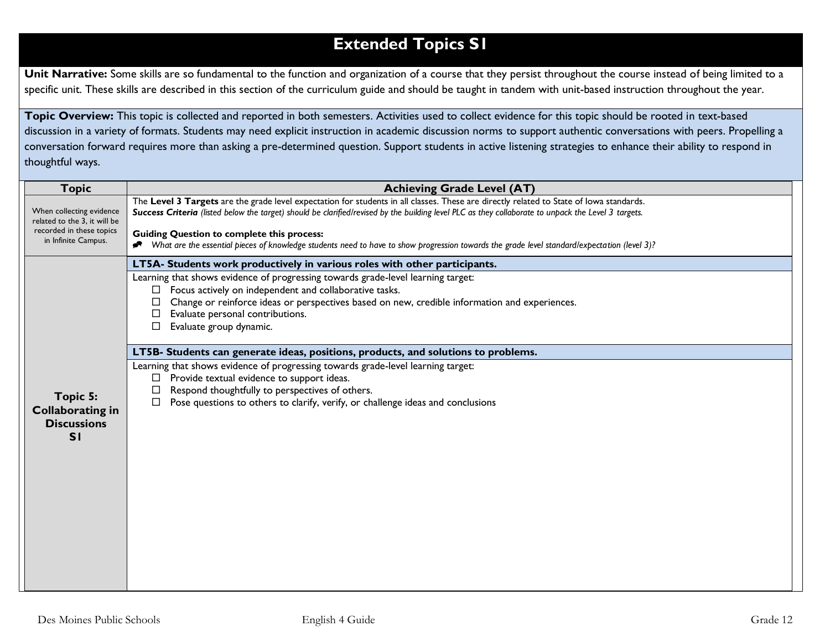# **Extended Topics S1**

Unit Narrative: Some skills are so fundamental to the function and organization of a course that they persist throughout the course instead of being limited to a specific unit. These skills are described in this section of the curriculum guide and should be taught in tandem with unit-based instruction throughout the year.

**Topic Overview:** This topic is collected and reported in both semesters. Activities used to collect evidence for this topic should be rooted in text-based discussion in a variety of formats. Students may need explicit instruction in academic discussion norms to support authentic conversations with peers. Propelling a conversation forward requires more than asking a pre-determined question. Support students in active listening strategies to enhance their ability to respond in thoughtful ways.

| <b>Topic</b>                                                                                                | <b>Achieving Grade Level (AT)</b>                                                                                                                                                                                                                                                              |  |  |
|-------------------------------------------------------------------------------------------------------------|------------------------------------------------------------------------------------------------------------------------------------------------------------------------------------------------------------------------------------------------------------------------------------------------|--|--|
| When collecting evidence<br>related to the 3, it will be<br>recorded in these topics<br>in Infinite Campus. | The Level 3 Targets are the grade level expectation for students in all classes. These are directly related to State of lowa standards.<br>Success Criteria (listed below the target) should be clarified/revised by the building level PLC as they collaborate to unpack the Level 3 targets. |  |  |
|                                                                                                             | <b>Guiding Question to complete this process:</b><br>Nhat are the essential pieces of knowledge students need to have to show progression towards the grade level standard/expectation (level 3)?                                                                                              |  |  |
|                                                                                                             | LT5A- Students work productively in various roles with other participants.                                                                                                                                                                                                                     |  |  |
|                                                                                                             | Learning that shows evidence of progressing towards grade-level learning target:                                                                                                                                                                                                               |  |  |
|                                                                                                             | Focus actively on independent and collaborative tasks.<br>Change or reinforce ideas or perspectives based on new, credible information and experiences.                                                                                                                                        |  |  |
|                                                                                                             | Evaluate personal contributions.                                                                                                                                                                                                                                                               |  |  |
|                                                                                                             | Evaluate group dynamic.                                                                                                                                                                                                                                                                        |  |  |
|                                                                                                             | LT5B- Students can generate ideas, positions, products, and solutions to problems.                                                                                                                                                                                                             |  |  |
|                                                                                                             | Learning that shows evidence of progressing towards grade-level learning target:                                                                                                                                                                                                               |  |  |
|                                                                                                             | Provide textual evidence to support ideas.<br>Respond thoughtfully to perspectives of others.                                                                                                                                                                                                  |  |  |
| Topic 5:                                                                                                    | Pose questions to others to clarify, verify, or challenge ideas and conclusions<br>$\Box$                                                                                                                                                                                                      |  |  |
| <b>Collaborating in</b><br><b>Discussions</b>                                                               |                                                                                                                                                                                                                                                                                                |  |  |
| SI                                                                                                          |                                                                                                                                                                                                                                                                                                |  |  |
|                                                                                                             |                                                                                                                                                                                                                                                                                                |  |  |
|                                                                                                             |                                                                                                                                                                                                                                                                                                |  |  |
|                                                                                                             |                                                                                                                                                                                                                                                                                                |  |  |
|                                                                                                             |                                                                                                                                                                                                                                                                                                |  |  |
|                                                                                                             |                                                                                                                                                                                                                                                                                                |  |  |
|                                                                                                             |                                                                                                                                                                                                                                                                                                |  |  |
|                                                                                                             |                                                                                                                                                                                                                                                                                                |  |  |
|                                                                                                             |                                                                                                                                                                                                                                                                                                |  |  |
|                                                                                                             |                                                                                                                                                                                                                                                                                                |  |  |
|                                                                                                             |                                                                                                                                                                                                                                                                                                |  |  |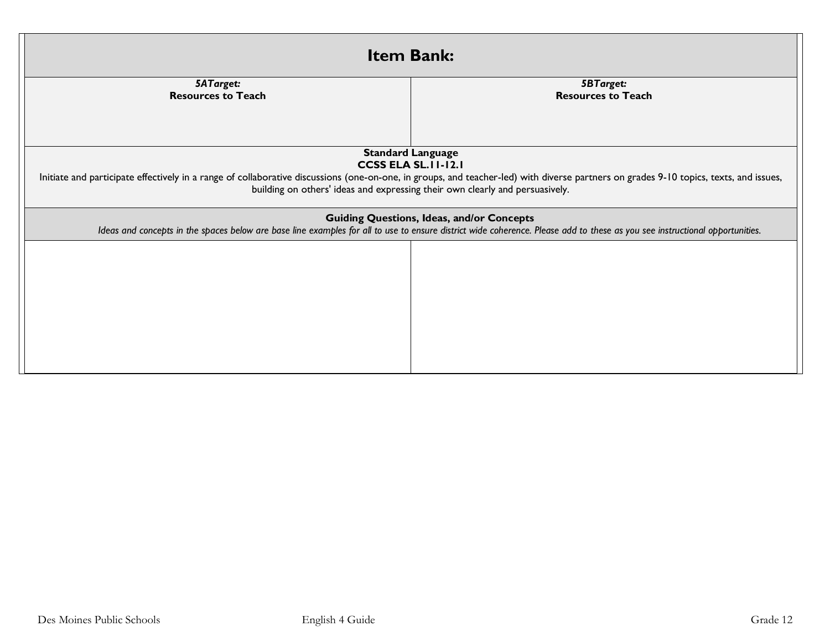| <b>Item Bank:</b>                                                                                                                                                                                                                                                                                                                |                                                                                                                                                                                                                                 |  |  |  |
|----------------------------------------------------------------------------------------------------------------------------------------------------------------------------------------------------------------------------------------------------------------------------------------------------------------------------------|---------------------------------------------------------------------------------------------------------------------------------------------------------------------------------------------------------------------------------|--|--|--|
| 5ATarget:<br><b>Resources to Teach</b>                                                                                                                                                                                                                                                                                           | <b>5BTarget:</b><br><b>Resources to Teach</b>                                                                                                                                                                                   |  |  |  |
| <b>Standard Language</b><br><b>CCSS ELA SL. II-12.1</b><br>Initiate and participate effectively in a range of collaborative discussions (one-on-one, in groups, and teacher-led) with diverse partners on grades 9-10 topics, texts, and issues,<br>building on others' ideas and expressing their own clearly and persuasively. |                                                                                                                                                                                                                                 |  |  |  |
|                                                                                                                                                                                                                                                                                                                                  | <b>Guiding Questions, Ideas, and/or Concepts</b><br>Ideas and concepts in the spaces below are base line examples for all to use to ensure district wide coherence. Please add to these as you see instructional opportunities. |  |  |  |
|                                                                                                                                                                                                                                                                                                                                  |                                                                                                                                                                                                                                 |  |  |  |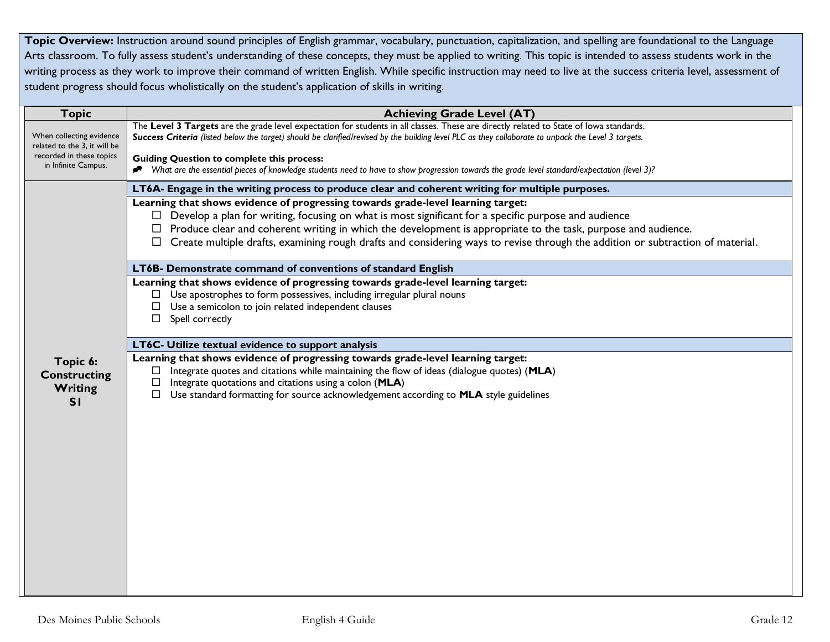Topic Overview: Instruction around sound principles of English grammar, vocabulary, punctuation, capitalization, and spelling are foundational to the Language Arts classroom. To fully assess student's understanding of these concepts, they must be applied to writing. This topic is intended to assess students work in the writing process as they work to improve their command of written English. While specific instruction may need to live at the success criteria level, assessment of student progress should focus wholistically on the student's application of skills in writing.

| <b>Topic</b>                                                                         | <b>Achieving Grade Level (AT)</b>                                                                                                                                                                                                                                                                                                                   |  |  |  |
|--------------------------------------------------------------------------------------|-----------------------------------------------------------------------------------------------------------------------------------------------------------------------------------------------------------------------------------------------------------------------------------------------------------------------------------------------------|--|--|--|
| When collecting evidence<br>related to the 3, it will be<br>recorded in these topics | The Level 3 Targets are the grade level expectation for students in all classes. These are directly related to State of lowa standards.<br>Success Criteria (listed below the target) should be clarified/revised by the building level PLC as they collaborate to unpack the Level 3 targets.<br><b>Guiding Question to complete this process:</b> |  |  |  |
| in Infinite Campus.                                                                  | * What are the essential pieces of knowledge students need to have to show progression towards the grade level standard/expectation (level 3)?                                                                                                                                                                                                      |  |  |  |
|                                                                                      | LT6A- Engage in the writing process to produce clear and coherent writing for multiple purposes.                                                                                                                                                                                                                                                    |  |  |  |
|                                                                                      | Learning that shows evidence of progressing towards grade-level learning target:<br>$\Box$ Develop a plan for writing, focusing on what is most significant for a specific purpose and audience                                                                                                                                                     |  |  |  |
|                                                                                      | $\Box$ Produce clear and coherent writing in which the development is appropriate to the task, purpose and audience.                                                                                                                                                                                                                                |  |  |  |
|                                                                                      | $\Box$ Create multiple drafts, examining rough drafts and considering ways to revise through the addition or subtraction of material.                                                                                                                                                                                                               |  |  |  |
|                                                                                      | LT6B- Demonstrate command of conventions of standard English                                                                                                                                                                                                                                                                                        |  |  |  |
|                                                                                      | Learning that shows evidence of progressing towards grade-level learning target:                                                                                                                                                                                                                                                                    |  |  |  |
|                                                                                      | $\Box$ Use apostrophes to form possessives, including irregular plural nouns<br>$\Box$ Use a semicolon to join related independent clauses                                                                                                                                                                                                          |  |  |  |
|                                                                                      | Spell correctly<br>$\Box$                                                                                                                                                                                                                                                                                                                           |  |  |  |
|                                                                                      | LT6C- Utilize textual evidence to support analysis                                                                                                                                                                                                                                                                                                  |  |  |  |
| Topic 6:<br><b>Constructing</b><br>Writing<br>SI                                     | Learning that shows evidence of progressing towards grade-level learning target:<br>Integrate quotes and citations while maintaining the flow of ideas (dialogue quotes) (MLA)<br>Integrate quotations and citations using a colon (MLA)<br>□<br>Use standard formatting for source acknowledgement according to MLA style guidelines<br>$\Box$     |  |  |  |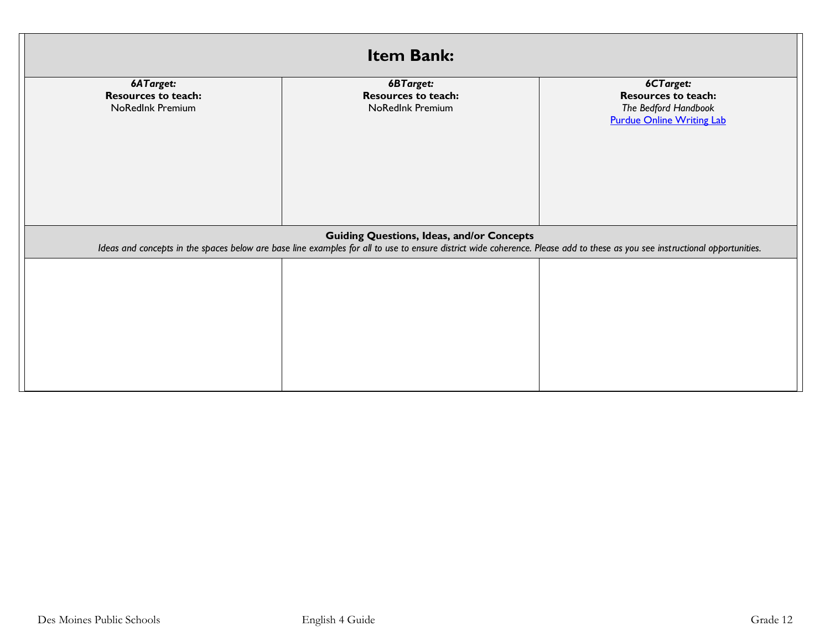| <b>Item Bank:</b>                                                  |                                                                                                                                                                                                                                 |                                                                                                     |  |  |  |
|--------------------------------------------------------------------|---------------------------------------------------------------------------------------------------------------------------------------------------------------------------------------------------------------------------------|-----------------------------------------------------------------------------------------------------|--|--|--|
| 6ATarget:<br><b>Resources to teach:</b><br><b>NoRedInk Premium</b> | 6BTarget:<br><b>Resources to teach:</b><br>NoRedInk Premium                                                                                                                                                                     | 6CTarget:<br><b>Resources to teach:</b><br>The Bedford Handbook<br><b>Purdue Online Writing Lab</b> |  |  |  |
|                                                                    | <b>Guiding Questions, Ideas, and/or Concepts</b><br>Ideas and concepts in the spaces below are base line examples for all to use to ensure district wide coherence. Please add to these as you see instructional opportunities. |                                                                                                     |  |  |  |
|                                                                    |                                                                                                                                                                                                                                 |                                                                                                     |  |  |  |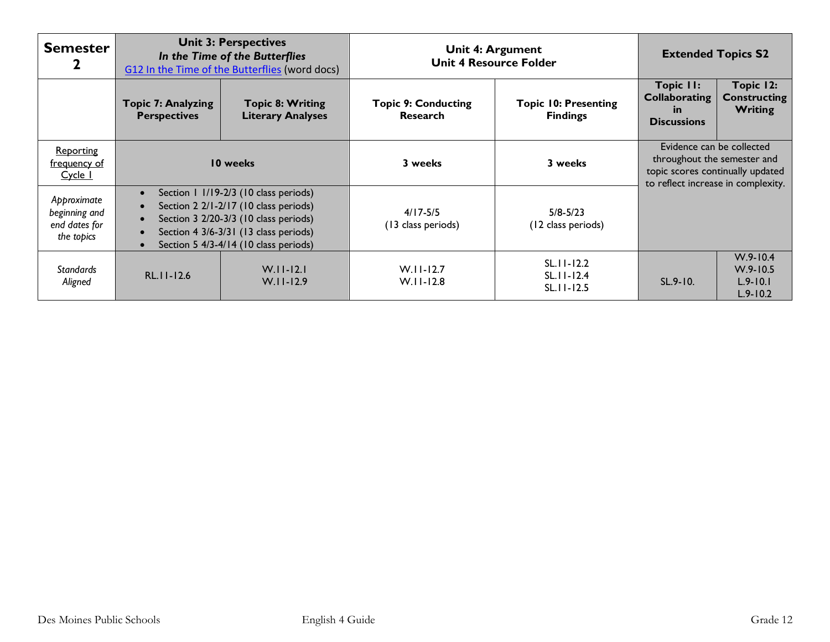| <b>Semester</b>                                             | <b>Unit 3: Perspectives</b><br>In the Time of the Butterflies<br>G12 In the Time of the Butterflies (word docs) |                                                                                                                                                                                                           | Unit 4: Argument<br><b>Unit 4 Resource Folder</b> |                                                    | <b>Extended Topics S2</b>                                                                                                          |                                                              |
|-------------------------------------------------------------|-----------------------------------------------------------------------------------------------------------------|-----------------------------------------------------------------------------------------------------------------------------------------------------------------------------------------------------------|---------------------------------------------------|----------------------------------------------------|------------------------------------------------------------------------------------------------------------------------------------|--------------------------------------------------------------|
|                                                             | <b>Topic 7: Analyzing</b><br><b>Perspectives</b>                                                                | <b>Topic 8: Writing</b><br><b>Literary Analyses</b>                                                                                                                                                       | <b>Topic 9: Conducting</b><br><b>Research</b>     | <b>Topic 10: Presenting</b><br><b>Findings</b>     | Topic II:<br><b>Collaborating</b><br><u>in</u><br><b>Discussions</b>                                                               | Topic 12:<br><b>Constructing</b><br><b>Writing</b>           |
| Reporting<br>frequency of<br>Cycle 1                        | 10 weeks                                                                                                        |                                                                                                                                                                                                           | 3 weeks                                           | 3 weeks                                            | Evidence can be collected<br>throughout the semester and<br>topic scores continually updated<br>to reflect increase in complexity. |                                                              |
| Approximate<br>beginning and<br>end dates for<br>the topics | $\bullet$<br>$\bullet$<br>$\bullet$<br>$\bullet$<br>$\bullet$                                                   | Section 1 1/19-2/3 (10 class periods)<br>Section 2 2/1-2/17 (10 class periods)<br>Section 3 2/20-3/3 (10 class periods)<br>Section 4 3/6-3/31 (13 class periods)<br>Section 5 4/3-4/14 (10 class periods) | $4/17 - 5/5$<br>(13 class periods)                | $5/8 - 5/23$<br>(12 class periods)                 |                                                                                                                                    |                                                              |
| <b>Standards</b><br>Aligned                                 | $RL$ . $11 - 12.6$                                                                                              | $W.I.I-I2.I$<br>$W.I.I-12.9$                                                                                                                                                                              | $W.I.I-I2.7$<br>$W.I.I-12.8$                      | $SL.11 - 12.2$<br>$SL.11 - 12.4$<br>$SL.11 - 12.5$ | $SL.9 - 10.$                                                                                                                       | $W.9 - 10.4$<br>$W.9 - 10.5$<br>$L.9 - 10.1$<br>$L.9 - 10.2$ |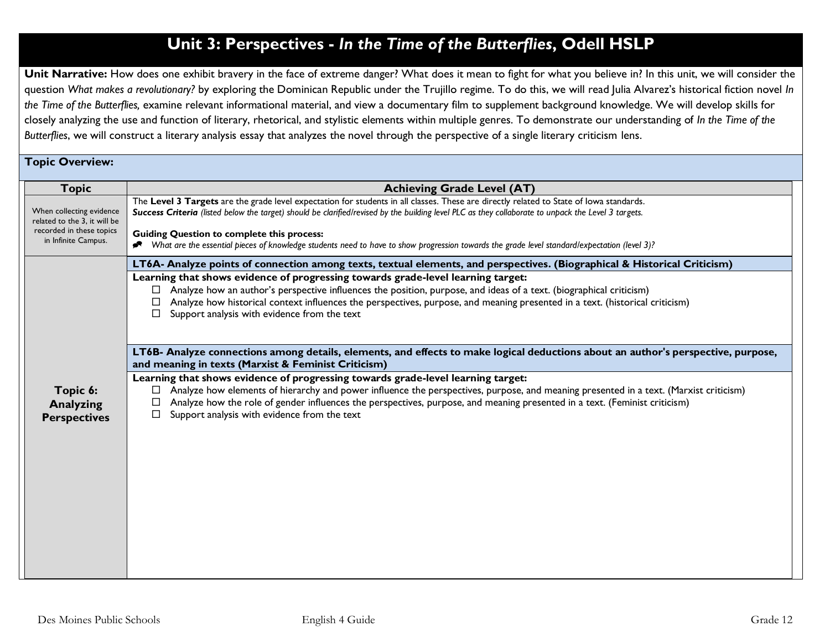# **Unit 3: Perspectives -** *In the Time of the Butterflies***, Odell HSLP**

Unit Narrative: How does one exhibit bravery in the face of extreme danger? What does it mean to fight for what you believe in? In this unit, we will consider the question *What makes a revolutionary?* by exploring the Dominican Republic under the Trujillo regime. To do this, we will read Julia Alvarez's historical fiction novel *In the Time of the Butterflies,* examine relevant informational material, and view a documentary film to supplement background knowledge. We will develop skills for closely analyzing the use and function of literary, rhetorical, and stylistic elements within multiple genres. To demonstrate our understanding of *In the Time of the Butterflies*, we will construct a literary analysis essay that analyzes the novel through the perspective of a single literary criticism lens.

### **Topic Overview:**

| <b>Topic</b>                                             | <b>Achieving Grade Level (AT)</b>                                                                                                                                                                                                                                                                                                                                                                                           |
|----------------------------------------------------------|-----------------------------------------------------------------------------------------------------------------------------------------------------------------------------------------------------------------------------------------------------------------------------------------------------------------------------------------------------------------------------------------------------------------------------|
| When collecting evidence<br>related to the 3, it will be | The Level 3 Targets are the grade level expectation for students in all classes. These are directly related to State of lowa standards.<br>Success Criteria (listed below the target) should be clarified/revised by the building level PLC as they collaborate to unpack the Level 3 targets.                                                                                                                              |
| recorded in these topics<br>in Infinite Campus.          | <b>Guiding Question to complete this process:</b><br>Nhat are the essential pieces of knowledge students need to have to show progression towards the grade level standard/expectation (level 3)?                                                                                                                                                                                                                           |
|                                                          | LT6A- Analyze points of connection among texts, textual elements, and perspectives. (Biographical & Historical Criticism)                                                                                                                                                                                                                                                                                                   |
|                                                          | Learning that shows evidence of progressing towards grade-level learning target:<br>Analyze how an author's perspective influences the position, purpose, and ideas of a text. (biographical criticism)<br>$\Box$<br>Analyze how historical context influences the perspectives, purpose, and meaning presented in a text. (historical criticism)<br>Support analysis with evidence from the text                           |
|                                                          | LT6B- Analyze connections among details, elements, and effects to make logical deductions about an author's perspective, purpose,<br>and meaning in texts (Marxist & Feminist Criticism)                                                                                                                                                                                                                                    |
| Topic 6:<br><b>Analyzing</b><br><b>Perspectives</b>      | Learning that shows evidence of progressing towards grade-level learning target:<br>Analyze how elements of hierarchy and power influence the perspectives, purpose, and meaning presented in a text. (Marxist criticism)<br>□<br>Analyze how the role of gender influences the perspectives, purpose, and meaning presented in a text. (Feminist criticism)<br>□<br>Support analysis with evidence from the text<br>$\Box$ |
|                                                          |                                                                                                                                                                                                                                                                                                                                                                                                                             |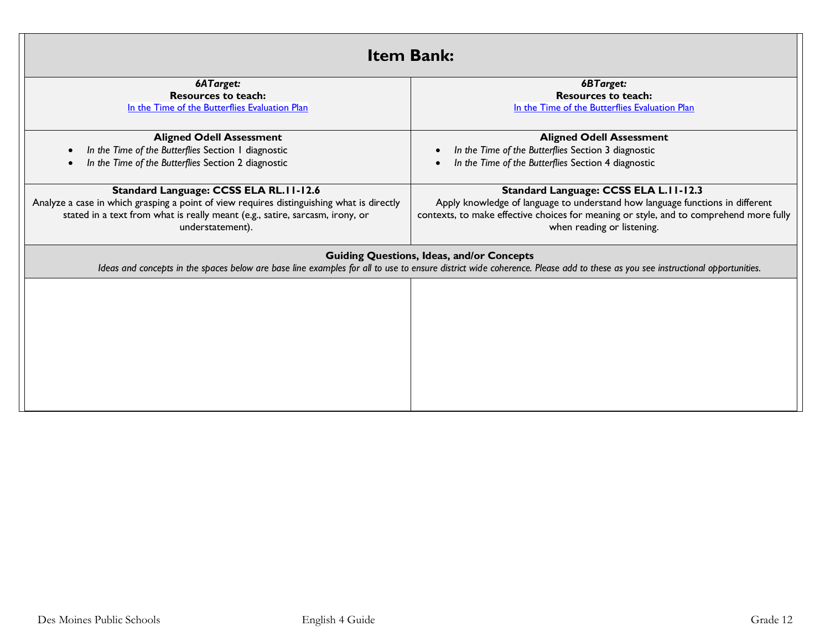| <b>Item Bank:</b>                                                                         |                                                                                                                                                                                                                                 |  |  |
|-------------------------------------------------------------------------------------------|---------------------------------------------------------------------------------------------------------------------------------------------------------------------------------------------------------------------------------|--|--|
| 6ATarget:                                                                                 | 6BTarget:                                                                                                                                                                                                                       |  |  |
| <b>Resources to teach:</b>                                                                | <b>Resources to teach:</b>                                                                                                                                                                                                      |  |  |
| In the Time of the Butterflies Evaluation Plan                                            | In the Time of the Butterflies Evaluation Plan                                                                                                                                                                                  |  |  |
|                                                                                           |                                                                                                                                                                                                                                 |  |  |
| <b>Aligned Odell Assessment</b>                                                           | <b>Aligned Odell Assessment</b>                                                                                                                                                                                                 |  |  |
| In the Time of the Butterflies Section I diagnostic                                       | In the Time of the Butterflies Section 3 diagnostic                                                                                                                                                                             |  |  |
| In the Time of the Butterflies Section 2 diagnostic                                       | In the Time of the Butterflies Section 4 diagnostic                                                                                                                                                                             |  |  |
| Standard Language: CCSS ELA RL.11-12.6                                                    | Standard Language: CCSS ELA L.II-12.3                                                                                                                                                                                           |  |  |
| Analyze a case in which grasping a point of view requires distinguishing what is directly | Apply knowledge of language to understand how language functions in different                                                                                                                                                   |  |  |
| stated in a text from what is really meant (e.g., satire, sarcasm, irony, or              | contexts, to make effective choices for meaning or style, and to comprehend more fully                                                                                                                                          |  |  |
| understatement).                                                                          | when reading or listening.                                                                                                                                                                                                      |  |  |
|                                                                                           |                                                                                                                                                                                                                                 |  |  |
|                                                                                           | <b>Guiding Questions, Ideas, and/or Concepts</b><br>Ideas and concepts in the spaces below are base line examples for all to use to ensure district wide coherence. Please add to these as you see instructional opportunities. |  |  |
|                                                                                           |                                                                                                                                                                                                                                 |  |  |
|                                                                                           |                                                                                                                                                                                                                                 |  |  |
|                                                                                           |                                                                                                                                                                                                                                 |  |  |
|                                                                                           |                                                                                                                                                                                                                                 |  |  |
|                                                                                           |                                                                                                                                                                                                                                 |  |  |
|                                                                                           |                                                                                                                                                                                                                                 |  |  |
|                                                                                           |                                                                                                                                                                                                                                 |  |  |
|                                                                                           |                                                                                                                                                                                                                                 |  |  |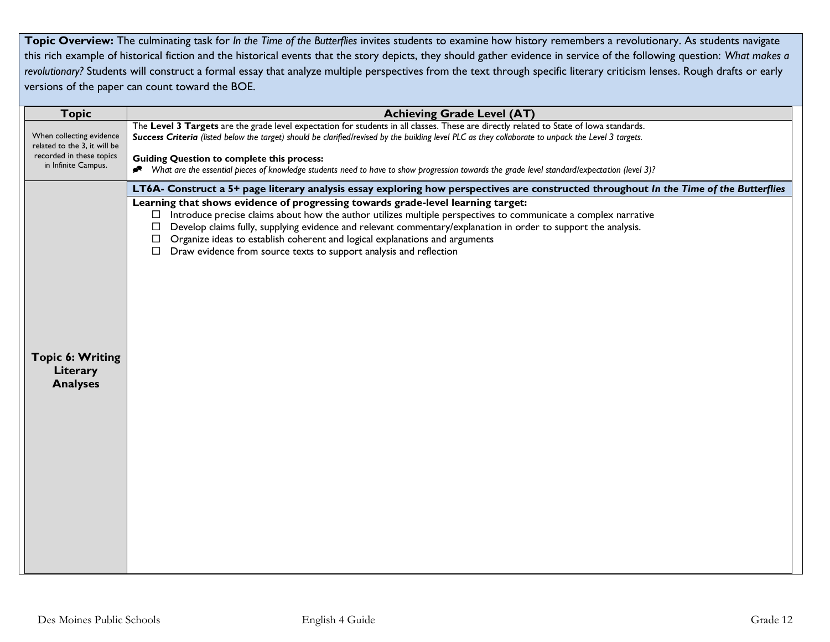**Topic Overview:** The culminating task for *In the Time of the Butterflies* invites students to examine how history remembers a revolutionary. As students navigate this rich example of historical fiction and the historical events that the story depicts, they should gather evidence in service of the following question: *What makes a*  revolutionary? Students will construct a formal essay that analyze multiple perspectives from the text through specific literary criticism lenses. Rough drafts or early versions of the paper can count toward the BOE.

| <b>Topic</b>                                                                                                                                 | <b>Achieving Grade Level (AT)</b>                                                                                                                                                                                                                                                                                                                                                                                                                                                                                                                                                                                                                            |  |  |
|----------------------------------------------------------------------------------------------------------------------------------------------|--------------------------------------------------------------------------------------------------------------------------------------------------------------------------------------------------------------------------------------------------------------------------------------------------------------------------------------------------------------------------------------------------------------------------------------------------------------------------------------------------------------------------------------------------------------------------------------------------------------------------------------------------------------|--|--|
| When collecting evidence<br>related to the 3, it will be<br>recorded in these topics<br>in Infinite Campus.                                  | The Level 3 Targets are the grade level expectation for students in all classes. These are directly related to State of lowa standards.<br>Success Criteria (listed below the target) should be clarified/revised by the building level PLC as they collaborate to unpack the Level 3 targets.<br><b>Guiding Question to complete this process:</b>                                                                                                                                                                                                                                                                                                          |  |  |
| What are the essential pieces of knowledge students need to have to show progression towards the grade level standard/expectation (level 3)? |                                                                                                                                                                                                                                                                                                                                                                                                                                                                                                                                                                                                                                                              |  |  |
| <b>Topic 6: Writing</b><br>Literary<br><b>Analyses</b>                                                                                       | LT6A- Construct a 5+ page literary analysis essay exploring how perspectives are constructed throughout In the Time of the Butterflies<br>Learning that shows evidence of progressing towards grade-level learning target:<br>Introduce precise claims about how the author utilizes multiple perspectives to communicate a complex narrative<br>$\Box$<br>Develop claims fully, supplying evidence and relevant commentary/explanation in order to support the analysis.<br>$\Box$<br>Organize ideas to establish coherent and logical explanations and arguments<br>$\Box$<br>Draw evidence from source texts to support analysis and reflection<br>$\Box$ |  |  |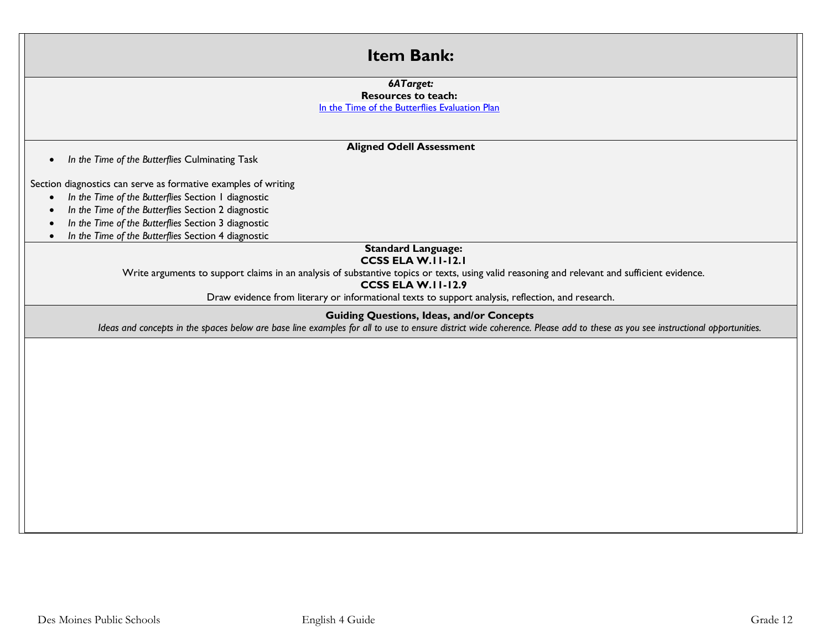### **Item Bank:**

#### *6ATarget:*

#### **Resources to teach:** [In the Time of the Butterflies Evaluation Plan](https://odell-uploads-staging.s3.amazonaws.com/release/materials/12d3_ep.pdf)

### **Aligned Odell Assessment**

• *In the Time of the Butterflies* Culminating Task

Section diagnostics can serve as formative examples of writing

- *In the Time of the Butterflies* Section 1 diagnostic
- *In the Time of the Butterflies* Section 2 diagnostic
- *In the Time of the Butterflies* Section 3 diagnostic
- *In the Time of the Butterflies* Section 4 diagnostic

#### **Standard Language: CCSS ELA W.11-12.1**

Write arguments to support claims in an analysis of substantive topics or texts, using valid reasoning and relevant and sufficient evidence.

#### **CCSS ELA W.11-12.9**

Draw evidence from literary or informational texts to support analysis, reflection, and research.

### **Guiding Questions, Ideas, and/or Concepts**

*Ideas and concepts in the spaces below are base line examples for all to use to ensure district wide coherence. Please add to these as you see instructional opportunities.*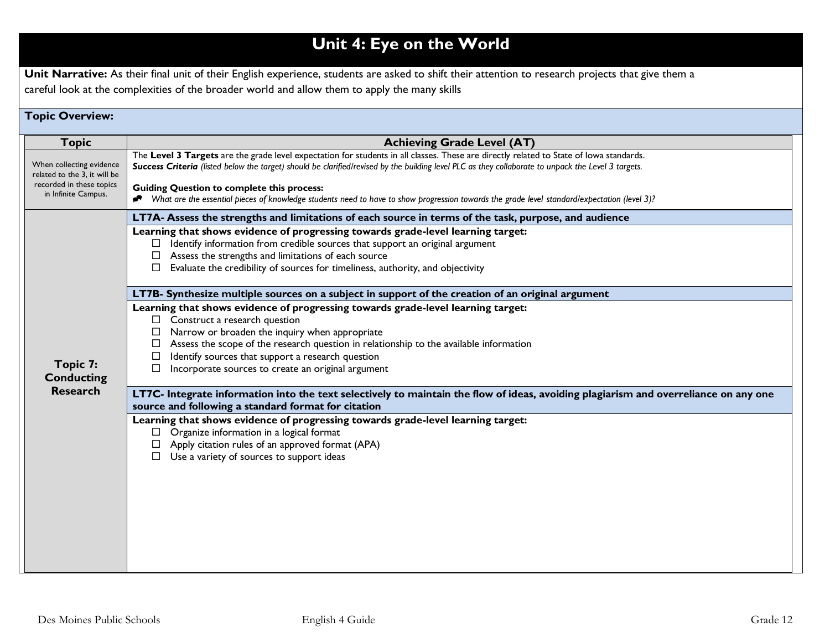# **Unit 4: Eye on the World**

Unit Narrative: As their final unit of their English experience, students are asked to shift their attention to research projects that give them a careful look at the complexities of the broader world and allow them to apply the many skills

### **Topic Overview:**

| <b>Topic</b>                                                                                                | <b>Achieving Grade Level (AT)</b>                                                                                                                                                                                                                                                                                                                                                                                                                                                                   |  |  |
|-------------------------------------------------------------------------------------------------------------|-----------------------------------------------------------------------------------------------------------------------------------------------------------------------------------------------------------------------------------------------------------------------------------------------------------------------------------------------------------------------------------------------------------------------------------------------------------------------------------------------------|--|--|
| When collecting evidence<br>related to the 3, it will be<br>recorded in these topics<br>in Infinite Campus. | The Level 3 Targets are the grade level expectation for students in all classes. These are directly related to State of lowa standards.<br>Success Criteria (listed below the target) should be clarified/revised by the building level PLC as they collaborate to unpack the Level 3 targets.<br><b>Guiding Question to complete this process:</b><br>Nhat are the essential pieces of knowledge students need to have to show progression towards the grade level standard/expectation (level 3)? |  |  |
| Topic 7:<br><b>Conducting</b><br><b>Research</b>                                                            | LT7A- Assess the strengths and limitations of each source in terms of the task, purpose, and audience<br>Learning that shows evidence of progressing towards grade-level learning target:<br>Identify information from credible sources that support an original argument<br>Assess the strengths and limitations of each source<br>Evaluate the credibility of sources for timeliness, authority, and objectivity                                                                                  |  |  |
|                                                                                                             | LT7B- Synthesize multiple sources on a subject in support of the creation of an original argument<br>Learning that shows evidence of progressing towards grade-level learning target:<br>Construct a research question<br>$\Box$<br>Narrow or broaden the inquiry when appropriate<br>Assess the scope of the research question in relationship to the available information<br>Identify sources that support a research question<br>Incorporate sources to create an original argument<br>□        |  |  |
|                                                                                                             | LT7C- Integrate information into the text selectively to maintain the flow of ideas, avoiding plagiarism and overreliance on any one<br>source and following a standard format for citation<br>Learning that shows evidence of progressing towards grade-level learning target:<br>Organize information in a logical format<br>Apply citation rules of an approved format (APA)<br>Use a variety of sources to support ideas                                                                        |  |  |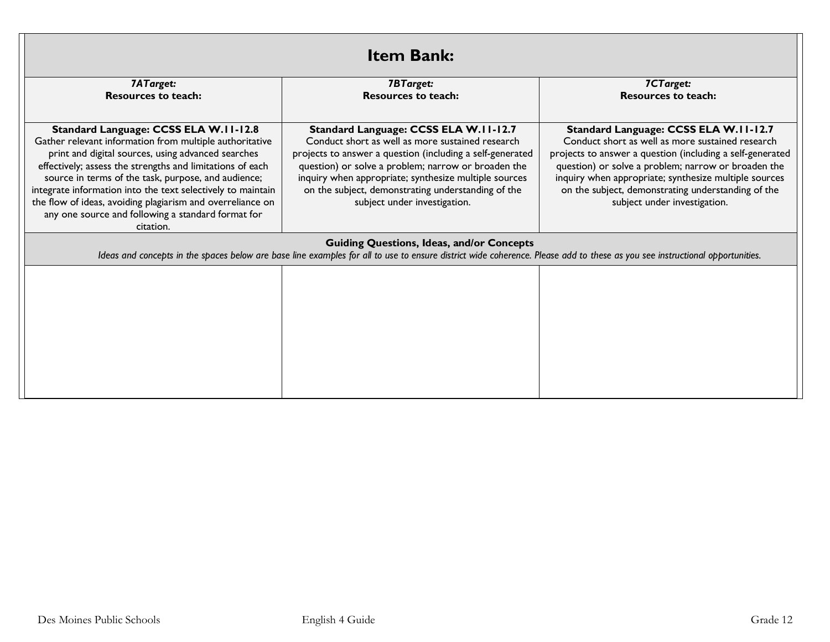| <b>Item Bank:</b>                                                                                                                                                                                                                                                                                                                                                                                                                                                          |                                                                                                                                                                                                                                                                                                                                                              |                                                                                                                                                                                                                                                                                                                                                              |  |
|----------------------------------------------------------------------------------------------------------------------------------------------------------------------------------------------------------------------------------------------------------------------------------------------------------------------------------------------------------------------------------------------------------------------------------------------------------------------------|--------------------------------------------------------------------------------------------------------------------------------------------------------------------------------------------------------------------------------------------------------------------------------------------------------------------------------------------------------------|--------------------------------------------------------------------------------------------------------------------------------------------------------------------------------------------------------------------------------------------------------------------------------------------------------------------------------------------------------------|--|
| 7ATarget:<br><b>Resources to teach:</b>                                                                                                                                                                                                                                                                                                                                                                                                                                    | <b>7BTarget:</b><br><b>Resources to teach:</b>                                                                                                                                                                                                                                                                                                               | 7CTarget:<br><b>Resources to teach:</b>                                                                                                                                                                                                                                                                                                                      |  |
| Standard Language: CCSS ELA W.II-12.8<br>Gather relevant information from multiple authoritative<br>print and digital sources, using advanced searches<br>effectively; assess the strengths and limitations of each<br>source in terms of the task, purpose, and audience;<br>integrate information into the text selectively to maintain<br>the flow of ideas, avoiding plagiarism and overreliance on<br>any one source and following a standard format for<br>citation. | Standard Language: CCSS ELA W.II-12.7<br>Conduct short as well as more sustained research<br>projects to answer a question (including a self-generated<br>question) or solve a problem; narrow or broaden the<br>inquiry when appropriate; synthesize multiple sources<br>on the subject, demonstrating understanding of the<br>subject under investigation. | Standard Language: CCSS ELA W.II-12.7<br>Conduct short as well as more sustained research<br>projects to answer a question (including a self-generated<br>question) or solve a problem; narrow or broaden the<br>inquiry when appropriate; synthesize multiple sources<br>on the subject, demonstrating understanding of the<br>subject under investigation. |  |
|                                                                                                                                                                                                                                                                                                                                                                                                                                                                            | <b>Guiding Questions, Ideas, and/or Concepts</b><br>Ideas and concepts in the spaces below are base line examples for all to use to ensure district wide coherence. Please add to these as you see instructional opportunities.                                                                                                                              |                                                                                                                                                                                                                                                                                                                                                              |  |
|                                                                                                                                                                                                                                                                                                                                                                                                                                                                            |                                                                                                                                                                                                                                                                                                                                                              |                                                                                                                                                                                                                                                                                                                                                              |  |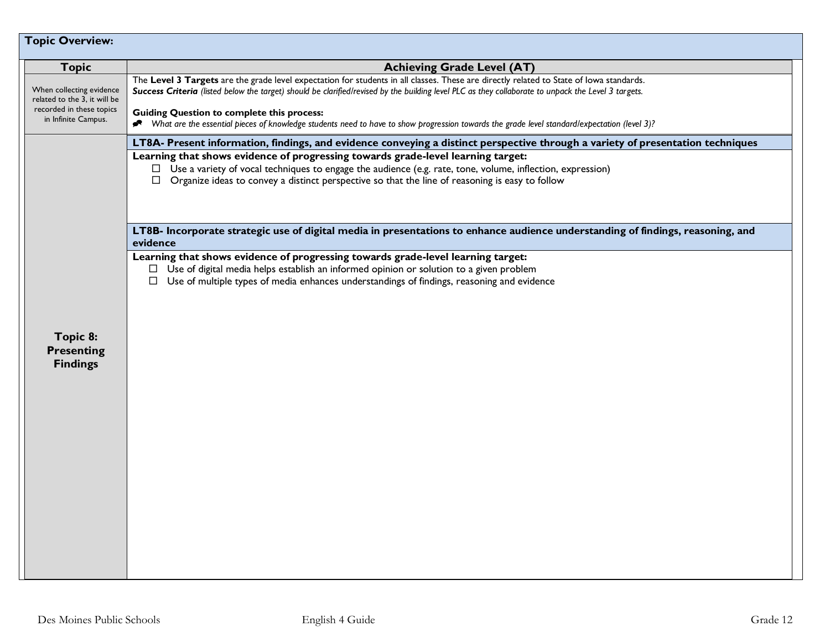| <b>Topic Overview:</b>                                                                                      |                                                                                                                                                                                                                                                                                                                                                                                                                                                                                                     |  |  |
|-------------------------------------------------------------------------------------------------------------|-----------------------------------------------------------------------------------------------------------------------------------------------------------------------------------------------------------------------------------------------------------------------------------------------------------------------------------------------------------------------------------------------------------------------------------------------------------------------------------------------------|--|--|
| <b>Topic</b>                                                                                                | <b>Achieving Grade Level (AT)</b>                                                                                                                                                                                                                                                                                                                                                                                                                                                                   |  |  |
| When collecting evidence<br>related to the 3, it will be<br>recorded in these topics<br>in Infinite Campus. | The Level 3 Targets are the grade level expectation for students in all classes. These are directly related to State of lowa standards.<br>Success Criteria (listed below the target) should be clarified/revised by the building level PLC as they collaborate to unpack the Level 3 targets.<br><b>Guiding Question to complete this process:</b><br>Nhat are the essential pieces of knowledge students need to have to show progression towards the grade level standard/expectation (level 3)? |  |  |
|                                                                                                             | LT8A- Present information, findings, and evidence conveying a distinct perspective through a variety of presentation techniques                                                                                                                                                                                                                                                                                                                                                                     |  |  |
|                                                                                                             | Learning that shows evidence of progressing towards grade-level learning target:<br>$\Box$ Use a variety of vocal techniques to engage the audience (e.g. rate, tone, volume, inflection, expression)<br>$\Box$ Organize ideas to convey a distinct perspective so that the line of reasoning is easy to follow                                                                                                                                                                                     |  |  |
|                                                                                                             | LT8B- Incorporate strategic use of digital media in presentations to enhance audience understanding of findings, reasoning, and<br>evidence                                                                                                                                                                                                                                                                                                                                                         |  |  |
| Topic 8:<br><b>Presenting</b><br><b>Findings</b>                                                            | Learning that shows evidence of progressing towards grade-level learning target:<br>$\Box$ Use of digital media helps establish an informed opinion or solution to a given problem<br>Use of multiple types of media enhances understandings of findings, reasoning and evidence<br>$\Box$                                                                                                                                                                                                          |  |  |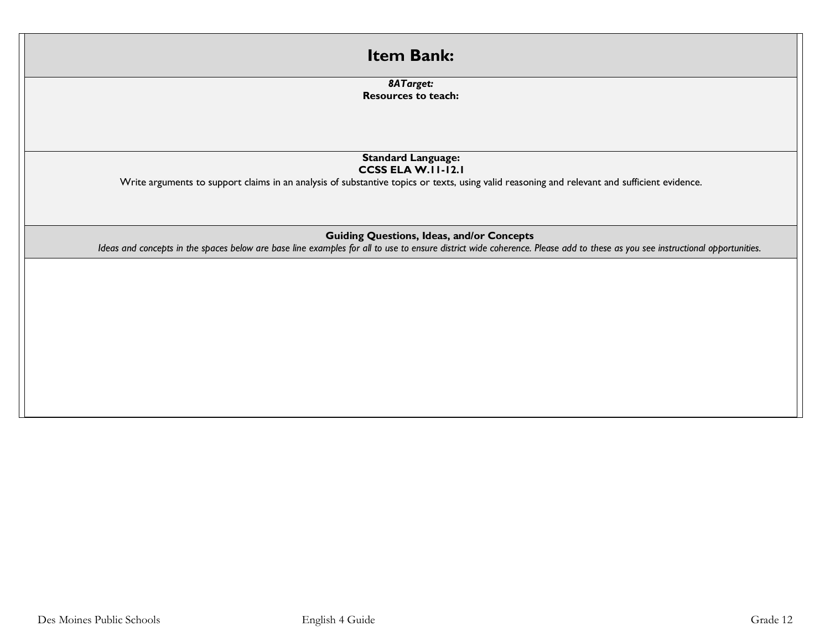| <b>Item Bank:</b>                                                                                                                                                                                                               |  |
|---------------------------------------------------------------------------------------------------------------------------------------------------------------------------------------------------------------------------------|--|
| 8ATarget:<br><b>Resources to teach:</b>                                                                                                                                                                                         |  |
| <b>Standard Language:</b><br><b>CCSS ELA W.II-12.I</b><br>Write arguments to support claims in an analysis of substantive topics or texts, using valid reasoning and relevant and sufficient evidence.                          |  |
| <b>Guiding Questions, Ideas, and/or Concepts</b><br>Ideas and concepts in the spaces below are base line examples for all to use to ensure district wide coherence. Please add to these as you see instructional opportunities. |  |
|                                                                                                                                                                                                                                 |  |
|                                                                                                                                                                                                                                 |  |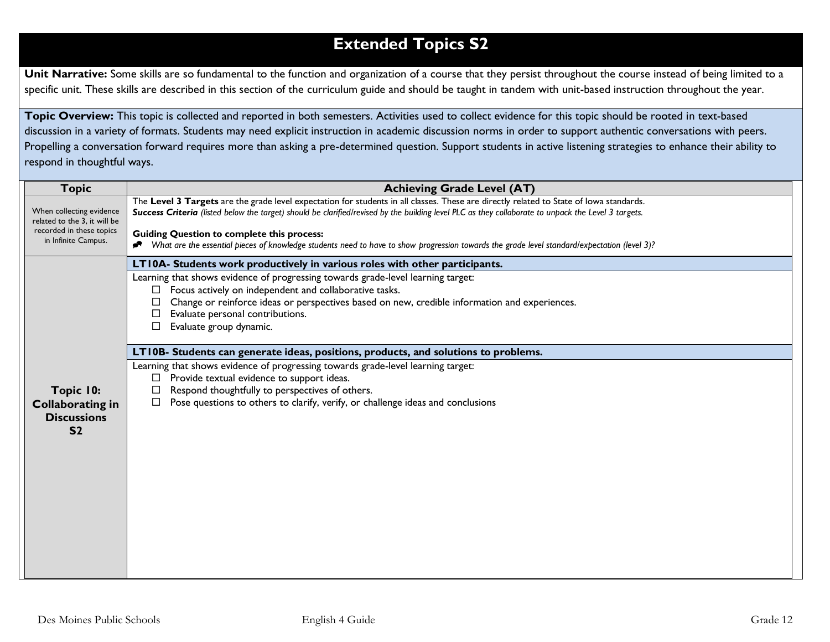# **Extended Topics S2**

Unit Narrative: Some skills are so fundamental to the function and organization of a course that they persist throughout the course instead of being limited to a specific unit. These skills are described in this section of the curriculum guide and should be taught in tandem with unit-based instruction throughout the year.

**Topic Overview:** This topic is collected and reported in both semesters. Activities used to collect evidence for this topic should be rooted in text-based discussion in a variety of formats. Students may need explicit instruction in academic discussion norms in order to support authentic conversations with peers. Propelling a conversation forward requires more than asking a pre-determined question. Support students in active listening strategies to enhance their ability to respond in thoughtful ways.

| <b>Topic</b>                                                                         | <b>Achieving Grade Level (AT)</b>                                                                                                                                                                                                                                                                                                                   |
|--------------------------------------------------------------------------------------|-----------------------------------------------------------------------------------------------------------------------------------------------------------------------------------------------------------------------------------------------------------------------------------------------------------------------------------------------------|
| When collecting evidence<br>related to the 3, it will be<br>recorded in these topics | The Level 3 Targets are the grade level expectation for students in all classes. These are directly related to State of lowa standards.<br>Success Criteria (listed below the target) should be clarified/revised by the building level PLC as they collaborate to unpack the Level 3 targets.<br><b>Guiding Question to complete this process:</b> |
| in Infinite Campus.                                                                  | What are the essential pieces of knowledge students need to have to show progression towards the grade level standard/expectation (level 3)?                                                                                                                                                                                                        |
|                                                                                      | LT10A- Students work productively in various roles with other participants.                                                                                                                                                                                                                                                                         |
|                                                                                      | Learning that shows evidence of progressing towards grade-level learning target:                                                                                                                                                                                                                                                                    |
|                                                                                      | $\Box$ Focus actively on independent and collaborative tasks.                                                                                                                                                                                                                                                                                       |
|                                                                                      | Change or reinforce ideas or perspectives based on new, credible information and experiences.<br>Evaluate personal contributions.                                                                                                                                                                                                                   |
|                                                                                      | Evaluate group dynamic.<br>$\Box$                                                                                                                                                                                                                                                                                                                   |
|                                                                                      |                                                                                                                                                                                                                                                                                                                                                     |
|                                                                                      | LT10B- Students can generate ideas, positions, products, and solutions to problems.                                                                                                                                                                                                                                                                 |
|                                                                                      | Learning that shows evidence of progressing towards grade-level learning target:                                                                                                                                                                                                                                                                    |
|                                                                                      | Provide textual evidence to support ideas.<br>Respond thoughtfully to perspectives of others.<br>□                                                                                                                                                                                                                                                  |
| Topic 10:<br><b>Collaborating in</b>                                                 | Pose questions to others to clarify, verify, or challenge ideas and conclusions                                                                                                                                                                                                                                                                     |
| <b>Discussions</b>                                                                   |                                                                                                                                                                                                                                                                                                                                                     |
| S <sub>2</sub>                                                                       |                                                                                                                                                                                                                                                                                                                                                     |
|                                                                                      |                                                                                                                                                                                                                                                                                                                                                     |
|                                                                                      |                                                                                                                                                                                                                                                                                                                                                     |
|                                                                                      |                                                                                                                                                                                                                                                                                                                                                     |
|                                                                                      |                                                                                                                                                                                                                                                                                                                                                     |
|                                                                                      |                                                                                                                                                                                                                                                                                                                                                     |
|                                                                                      |                                                                                                                                                                                                                                                                                                                                                     |
|                                                                                      |                                                                                                                                                                                                                                                                                                                                                     |
|                                                                                      |                                                                                                                                                                                                                                                                                                                                                     |
|                                                                                      |                                                                                                                                                                                                                                                                                                                                                     |
|                                                                                      |                                                                                                                                                                                                                                                                                                                                                     |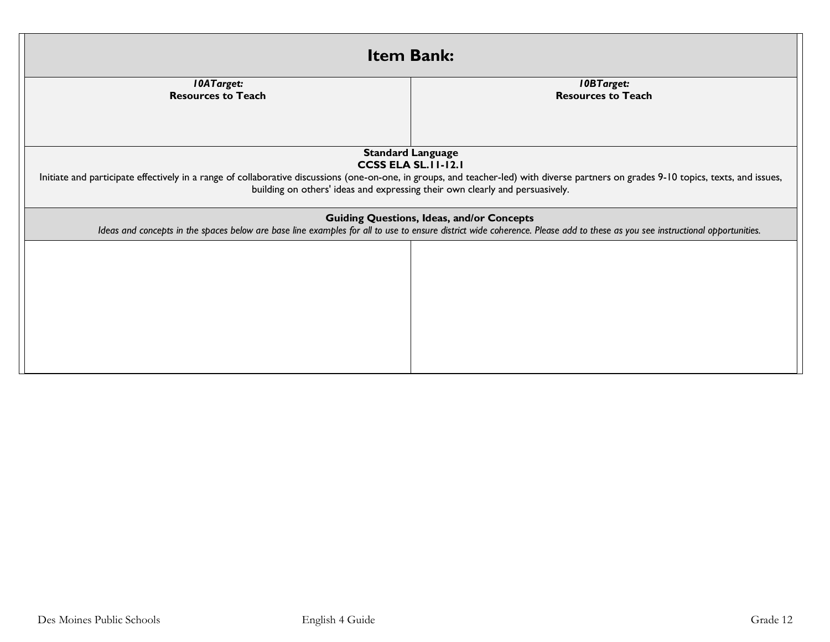| <b>Item Bank:</b>                                                                                                                                                                                                                                                                                                                |                                                |  |  |
|----------------------------------------------------------------------------------------------------------------------------------------------------------------------------------------------------------------------------------------------------------------------------------------------------------------------------------|------------------------------------------------|--|--|
| <b>10ATarget:</b><br><b>Resources to Teach</b>                                                                                                                                                                                                                                                                                   | <b>IOBTarget:</b><br><b>Resources to Teach</b> |  |  |
|                                                                                                                                                                                                                                                                                                                                  |                                                |  |  |
| <b>Standard Language</b><br><b>CCSS ELA SL. II-12.1</b><br>Initiate and participate effectively in a range of collaborative discussions (one-on-one, in groups, and teacher-led) with diverse partners on grades 9-10 topics, texts, and issues,<br>building on others' ideas and expressing their own clearly and persuasively. |                                                |  |  |
| <b>Guiding Questions, Ideas, and/or Concepts</b><br>Ideas and concepts in the spaces below are base line examples for all to use to ensure district wide coherence. Please add to these as you see instructional opportunities.                                                                                                  |                                                |  |  |
|                                                                                                                                                                                                                                                                                                                                  |                                                |  |  |
|                                                                                                                                                                                                                                                                                                                                  |                                                |  |  |
|                                                                                                                                                                                                                                                                                                                                  |                                                |  |  |
|                                                                                                                                                                                                                                                                                                                                  |                                                |  |  |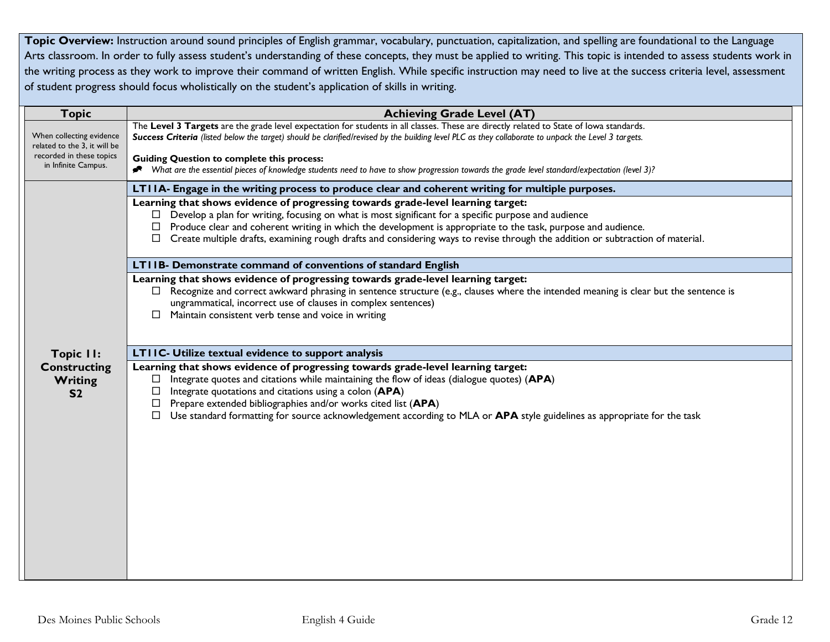Topic Overview: Instruction around sound principles of English grammar, vocabulary, punctuation, capitalization, and spelling are foundational to the Language Arts classroom. In order to fully assess student's understanding of these concepts, they must be applied to writing. This topic is intended to assess students work in the writing process as they work to improve their command of written English. While specific instruction may need to live at the success criteria level, assessment of student progress should focus wholistically on the student's application of skills in writing.

| <b>Topic</b>                                             | <b>Achieving Grade Level (AT)</b>                                                                                                                                                                                                                                                                                                                                                                                                                             |  |  |
|----------------------------------------------------------|---------------------------------------------------------------------------------------------------------------------------------------------------------------------------------------------------------------------------------------------------------------------------------------------------------------------------------------------------------------------------------------------------------------------------------------------------------------|--|--|
| When collecting evidence<br>related to the 3, it will be | The Level 3 Targets are the grade level expectation for students in all classes. These are directly related to State of lowa standards.<br>Success Criteria (listed below the target) should be clarified/revised by the building level PLC as they collaborate to unpack the Level 3 targets.                                                                                                                                                                |  |  |
| recorded in these topics<br>in Infinite Campus.          | <b>Guiding Question to complete this process:</b><br>* What are the essential pieces of knowledge students need to have to show progression towards the grade level standard/expectation (level 3)?                                                                                                                                                                                                                                                           |  |  |
|                                                          | LTIIA- Engage in the writing process to produce clear and coherent writing for multiple purposes.                                                                                                                                                                                                                                                                                                                                                             |  |  |
|                                                          | Learning that shows evidence of progressing towards grade-level learning target:<br>Develop a plan for writing, focusing on what is most significant for a specific purpose and audience<br>Produce clear and coherent writing in which the development is appropriate to the task, purpose and audience.<br>Create multiple drafts, examining rough drafts and considering ways to revise through the addition or subtraction of material.                   |  |  |
|                                                          | LTIIB- Demonstrate command of conventions of standard English                                                                                                                                                                                                                                                                                                                                                                                                 |  |  |
|                                                          | Learning that shows evidence of progressing towards grade-level learning target:<br>Recognize and correct awkward phrasing in sentence structure (e.g., clauses where the intended meaning is clear but the sentence is<br>ungrammatical, incorrect use of clauses in complex sentences)<br>Maintain consistent verb tense and voice in writing<br>$\Box$                                                                                                     |  |  |
| <b>Topic II:</b>                                         | LTIIC- Utilize textual evidence to support analysis                                                                                                                                                                                                                                                                                                                                                                                                           |  |  |
| <b>Constructing</b><br><b>Writing</b><br>S <sub>2</sub>  | Learning that shows evidence of progressing towards grade-level learning target:<br>Integrate quotes and citations while maintaining the flow of ideas (dialogue quotes) (APA)<br>□<br>Integrate quotations and citations using a colon (APA)<br>□<br>Prepare extended bibliographies and/or works cited list (APA)<br>□<br>Use standard formatting for source acknowledgement according to MLA or APA style guidelines as appropriate for the task<br>$\Box$ |  |  |